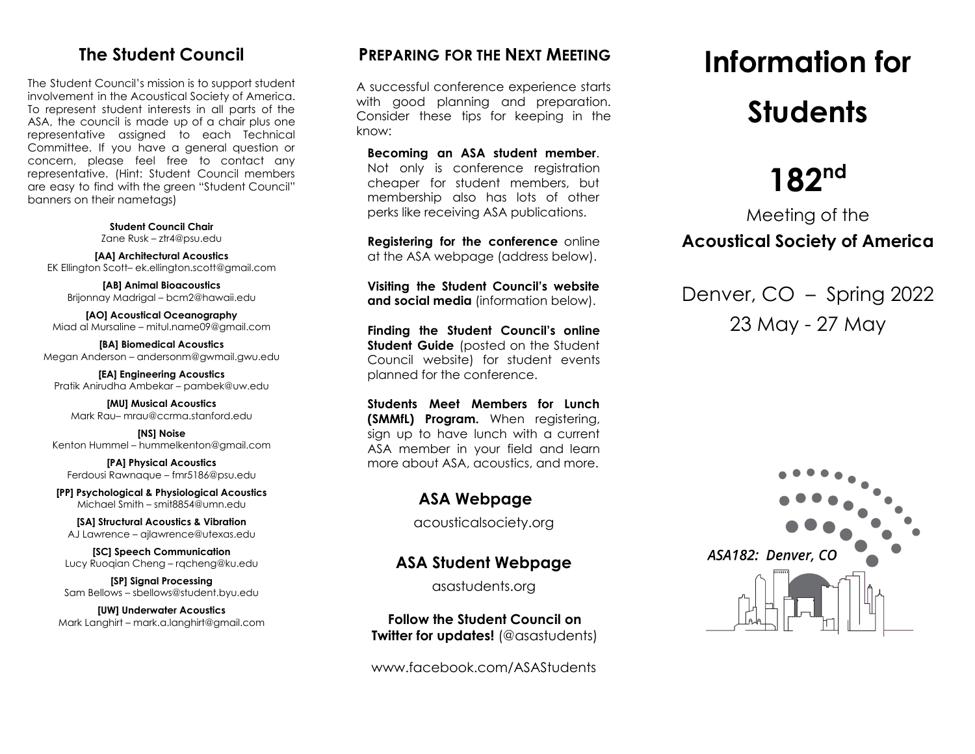## **The Student Council**

The Student Council's mission is to support student involvement in the Acoustical Society of America. To represent student interests in all parts of the ASA, the council is made up of a chair plus one representative assigned to each Technical Committee. If you have a general question or concern, please feel free to contact any representative. (Hint: Student Council members are easy to find with the green "Student Council" banners on their nametags)

> **Student Council Chair** Zane Rusk – ztr4@psu.edu

**[AA] Architectural Acoustics** EK Ellington Scott– ek.ellington.scott@gmail.com

**[AB] Animal Bioacoustics** Brijonnay Madrigal – bcm2@hawaii.edu

**[AO] Acoustical Oceanography** Miad al Mursaline – mitul.name09@gmail.com

**[BA] Biomedical Acoustics** Megan Anderson – andersonm@gwmail.gwu.edu

**[EA] Engineering Acoustics** Pratik Anirudha Ambekar – pambek@uw.edu

**[MU] Musical Acoustics** Mark Rau– mrau@ccrma.stanford.edu

**[NS] Noise** Kenton Hummel – hummelkenton@gmail.com

**[PA] Physical Acoustics** Ferdousi Rawnaque – fmr5186@psu.edu

**[PP] Psychological & Physiological Acoustics** Michael Smith – smit8854@umn.edu

**[SA] Structural Acoustics & Vibration** AJ Lawrence – ajlawrence@utexas.edu

**[SC] Speech Communication** Lucy Ruoqian Cheng – rqcheng@ku.edu

**[SP] Signal Processing** Sam Bellows – sbellows@student.byu.edu

**[UW] Underwater Acoustics** Mark Langhirt – mark.a.langhirt@gmail.com

### **PREPARING FOR THE NEXT MEETING**

A successful conference experience starts with good planning and preparation. Consider these tips for keeping in the know:

**Becoming an ASA student member**. Not only is conference registration cheaper for student members, but membership also has lots of other perks like receiving ASA publications.

**Registering for the conference** online at the ASA webpage (address below).

**Visiting the Student Council's website and social media** (information below).

**Finding the Student Council's online Student Guide** (posted on the Student Council website) for student events planned for the conference.

**Students Meet Members for Lunch (SMMfL) Program.** When registering, sign up to have lunch with a current ASA member in your field and learn more about ASA, acoustics, and more.

#### **ASA Webpage**

acousticalsociety.org

#### **ASA Student Webpage**

asastudents.org

**Follow the Student Council on Twitter for updates!** (@asastudents)

www.facebook.com/ASAStudents

# **Information for Students**

## 182<sup>nd</sup>

## Meeting of the **Acoustical Society of America**

Denver, CO – Spring 2022 23 May - 27 May